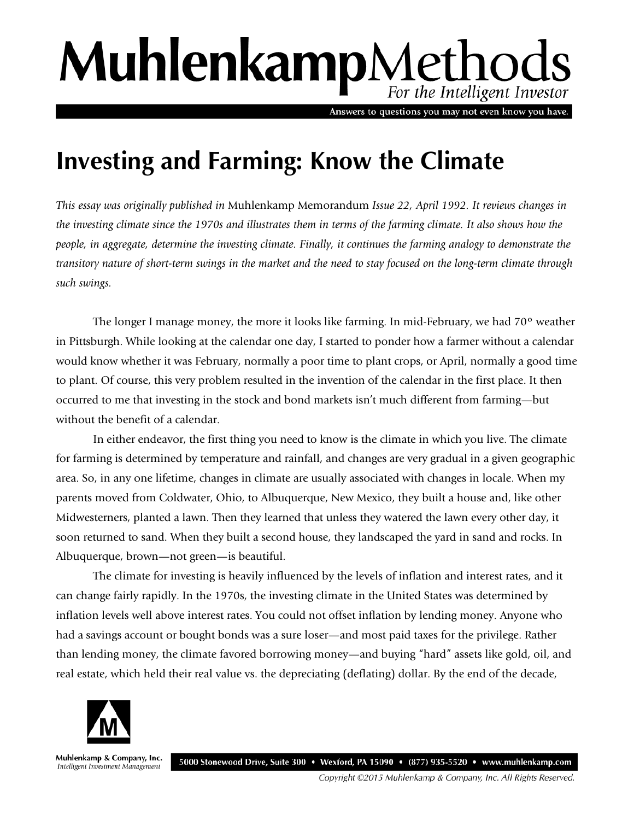# MuhlenkampMethods For the Intelligent Investor

Answers to questions you may not even know you have.

# **Investing and Farming: Know the Climate**

*This essay was originally published in* Muhlenkamp Memorandum *Issue 22, April 1992. It reviews changes in the investing climate since the 1970s and illustrates them in terms of the farming climate. It also shows how the people, in aggregate, determine the investing climate. Finally, it continues the farming analogy to demonstrate the transitory nature of short-term swings in the market and the need to stay focused on the long-term climate through such swings.*

The longer I manage money, the more it looks like farming. In mid-February, we had 70º weather in Pittsburgh. While looking at the calendar one day, I started to ponder how a farmer without a calendar would know whether it was February, normally a poor time to plant crops, or April, normally a good time to plant. Of course, this very problem resulted in the invention of the calendar in the first place. It then occurred to me that investing in the stock and bond markets isn't much different from farming—but without the benefit of a calendar.

In either endeavor, the first thing you need to know is the climate in which you live. The climate for farming is determined by temperature and rainfall, and changes are very gradual in a given geographic area. So, in any one lifetime, changes in climate are usually associated with changes in locale. When my parents moved from Coldwater, Ohio, to Albuquerque, New Mexico, they built a house and, like other Midwesterners, planted a lawn. Then they learned that unless they watered the lawn every other day, it soon returned to sand. When they built a second house, they landscaped the yard in sand and rocks. In Albuquerque, brown—not green—is beautiful.

The climate for investing is heavily influenced by the levels of inflation and interest rates, and it can change fairly rapidly. In the 1970s, the investing climate in the United States was determined by inflation levels well above interest rates. You could not offset inflation by lending money. Anyone who had a savings account or bought bonds was a sure loser—and most paid taxes for the privilege. Rather than lending money, the climate favored borrowing money—and buying "hard" assets like gold, oil, and real estate, which held their real value vs. the depreciating (deflating) dollar. By the end of the decade,



Muhlenkamp & Company, Inc. Intelligent Investment Management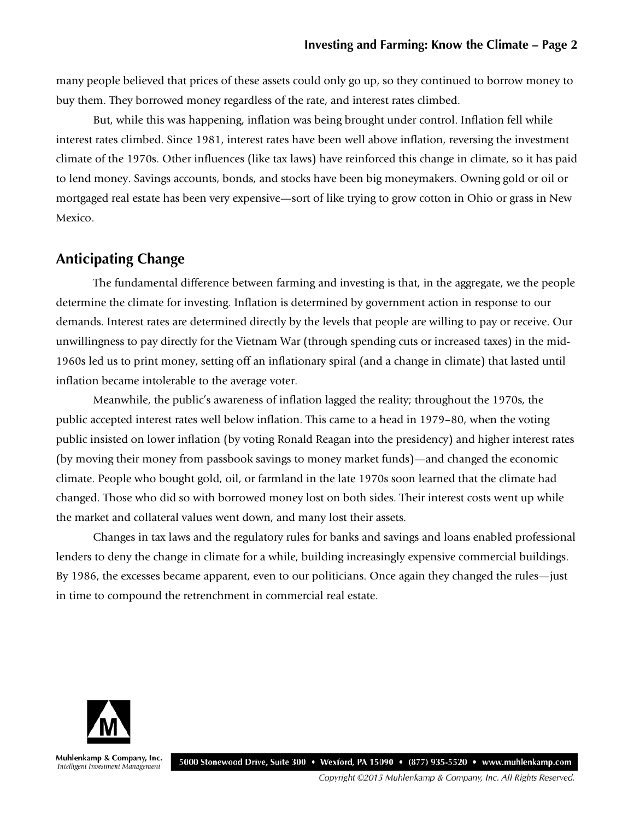many people believed that prices of these assets could only go up, so they continued to borrow money to buy them. They borrowed money regardless of the rate, and interest rates climbed.

But, while this was happening, inflation was being brought under control. Inflation fell while interest rates climbed. Since 1981, interest rates have been well above inflation, reversing the investment climate of the 1970s. Other influences (like tax laws) have reinforced this change in climate, so it has paid to lend money. Savings accounts, bonds, and stocks have been big moneymakers. Owning gold or oil or mortgaged real estate has been very expensive—sort of like trying to grow cotton in Ohio or grass in New Mexico.

## **Anticipating Change**

The fundamental difference between farming and investing is that, in the aggregate, we the people determine the climate for investing. Inflation is determined by government action in response to our demands. Interest rates are determined directly by the levels that people are willing to pay or receive. Our unwillingness to pay directly for the Vietnam War (through spending cuts or increased taxes) in the mid-1960s led us to print money, setting off an inflationary spiral (and a change in climate) that lasted until inflation became intolerable to the average voter.

Meanwhile, the public's awareness of inflation lagged the reality; throughout the 1970s, the public accepted interest rates well below inflation. This came to a head in 1979–80, when the voting public insisted on lower inflation (by voting Ronald Reagan into the presidency) and higher interest rates (by moving their money from passbook savings to money market funds)—and changed the economic climate. People who bought gold, oil, or farmland in the late 1970s soon learned that the climate had changed. Those who did so with borrowed money lost on both sides. Their interest costs went up while the market and collateral values went down, and many lost their assets.

Changes in tax laws and the regulatory rules for banks and savings and loans enabled professional lenders to deny the change in climate for a while, building increasingly expensive commercial buildings. By 1986, the excesses became apparent, even to our politicians. Once again they changed the rules—just in time to compound the retrenchment in commercial real estate.



Muhlenkamp & Company, Inc. Intelligent Investment Management

5000 Stonewood Drive, Suite 300 • Wexford, PA 15090 • (877) 935-5520 • www.muhlenkamp.com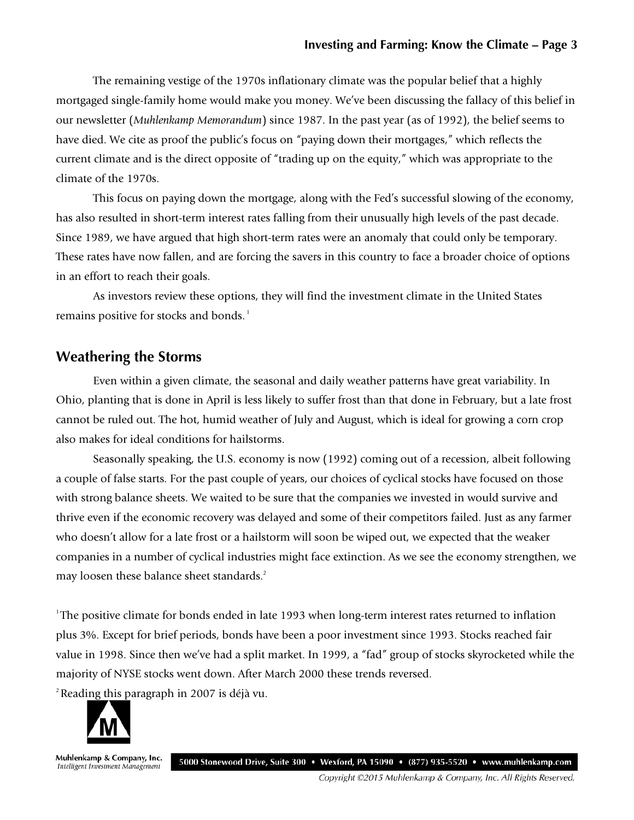The remaining vestige of the 1970s inflationary climate was the popular belief that a highly mortgaged single-family home would make you money. We've been discussing the fallacy of this belief in our newsletter (*Muhlenkamp Memorandum*) since 1987. In the past year (as of 1992), the belief seems to have died. We cite as proof the public's focus on "paying down their mortgages," which reflects the current climate and is the direct opposite of "trading up on the equity," which was appropriate to the climate of the 1970s.

This focus on paying down the mortgage, along with the Fed's successful slowing of the economy, has also resulted in short-term interest rates falling from their unusually high levels of the past decade. Since 1989, we have argued that high short-term rates were an anomaly that could only be temporary. These rates have now fallen, and are forcing the savers in this country to face a broader choice of options in an effort to reach their goals.

As investors review these options, they will find the investment climate in the United States remains positive for stocks and bonds.<sup>1</sup>

#### **Weathering the Storms**

Even within a given climate, the seasonal and daily weather patterns have great variability. In Ohio, planting that is done in April is less likely to suffer frost than that done in February, but a late frost cannot be ruled out. The hot, humid weather of July and August, which is ideal for growing a corn crop also makes for ideal conditions for hailstorms.

Seasonally speaking, the U.S. economy is now (1992) coming out of a recession, albeit following a couple of false starts. For the past couple of years, our choices of cyclical stocks have focused on those with strong balance sheets. We waited to be sure that the companies we invested in would survive and thrive even if the economic recovery was delayed and some of their competitors failed. Just as any farmer who doesn't allow for a late frost or a hailstorm will soon be wiped out, we expected that the weaker companies in a number of cyclical industries might face extinction. As we see the economy strengthen, we may loosen these balance sheet standards.<sup>2</sup>

<sup>1</sup>The positive climate for bonds ended in late 1993 when long-term interest rates returned to inflation plus 3%. Except for brief periods, bonds have been a poor investment since 1993. Stocks reached fair value in 1998. Since then we've had a split market. In 1999, a "fad" group of stocks skyrocketed while the majority of NYSE stocks went down. After March 2000 these trends reversed.

<sup>2</sup> Reading this paragraph in 2007 is déjà vu.



Muhlenkamp & Company, Inc. 5000 Stonewood Drive, Suite 300 • Wexford, PA 15090 • (877) 935-5520 • www.muhlenkamp.com Intelligent Investment Management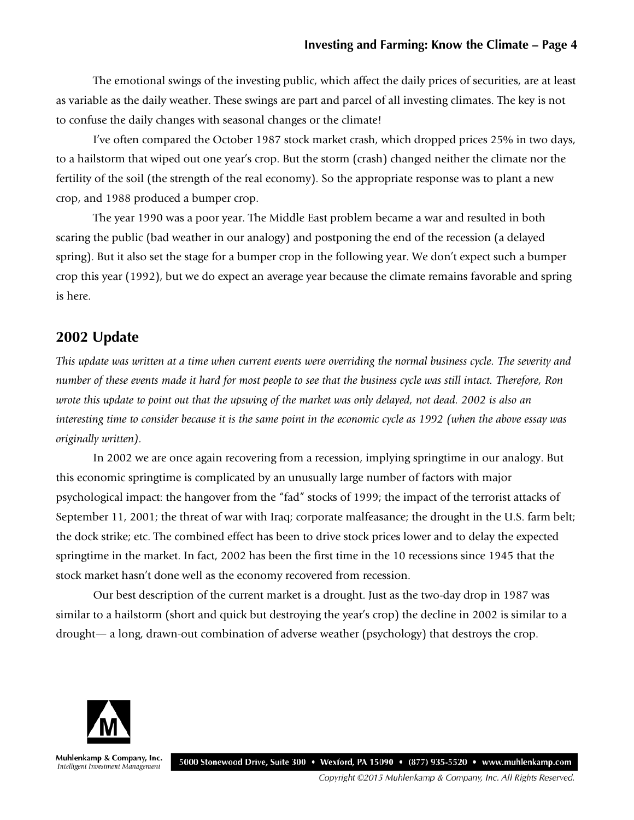The emotional swings of the investing public, which affect the daily prices of securities, are at least as variable as the daily weather. These swings are part and parcel of all investing climates. The key is not to confuse the daily changes with seasonal changes or the climate!

I've often compared the October 1987 stock market crash, which dropped prices 25% in two days, to a hailstorm that wiped out one year's crop. But the storm (crash) changed neither the climate nor the fertility of the soil (the strength of the real economy). So the appropriate response was to plant a new crop, and 1988 produced a bumper crop.

The year 1990 was a poor year. The Middle East problem became a war and resulted in both scaring the public (bad weather in our analogy) and postponing the end of the recession (a delayed spring). But it also set the stage for a bumper crop in the following year. We don't expect such a bumper crop this year (1992), but we do expect an average year because the climate remains favorable and spring is here.

### **2002 Update**

*This update was written at a time when current events were overriding the normal business cycle. The severity and number of these events made it hard for most people to see that the business cycle was still intact. Therefore, Ron wrote this update to point out that the upswing of the market was only delayed, not dead. 2002 is also an interesting time to consider because it is the same point in the economic cycle as 1992 (when the above essay was originally written).*

In 2002 we are once again recovering from a recession, implying springtime in our analogy. But this economic springtime is complicated by an unusually large number of factors with major psychological impact: the hangover from the "fad" stocks of 1999; the impact of the terrorist attacks of September 11, 2001; the threat of war with Iraq; corporate malfeasance; the drought in the U.S. farm belt; the dock strike; etc. The combined effect has been to drive stock prices lower and to delay the expected springtime in the market. In fact, 2002 has been the first time in the 10 recessions since 1945 that the stock market hasn't done well as the economy recovered from recession.

Our best description of the current market is a drought. Just as the two-day drop in 1987 was similar to a hailstorm (short and quick but destroying the year's crop) the decline in 2002 is similar to a drought— a long, drawn-out combination of adverse weather (psychology) that destroys the crop.



Muhlenkamp & Company, Inc. 5000 Stonewood Drive, Suite 300 • Wexford, PA 15090 • (877) 935-5520 • www.muhlenkamp.com Intelligent Investment Management